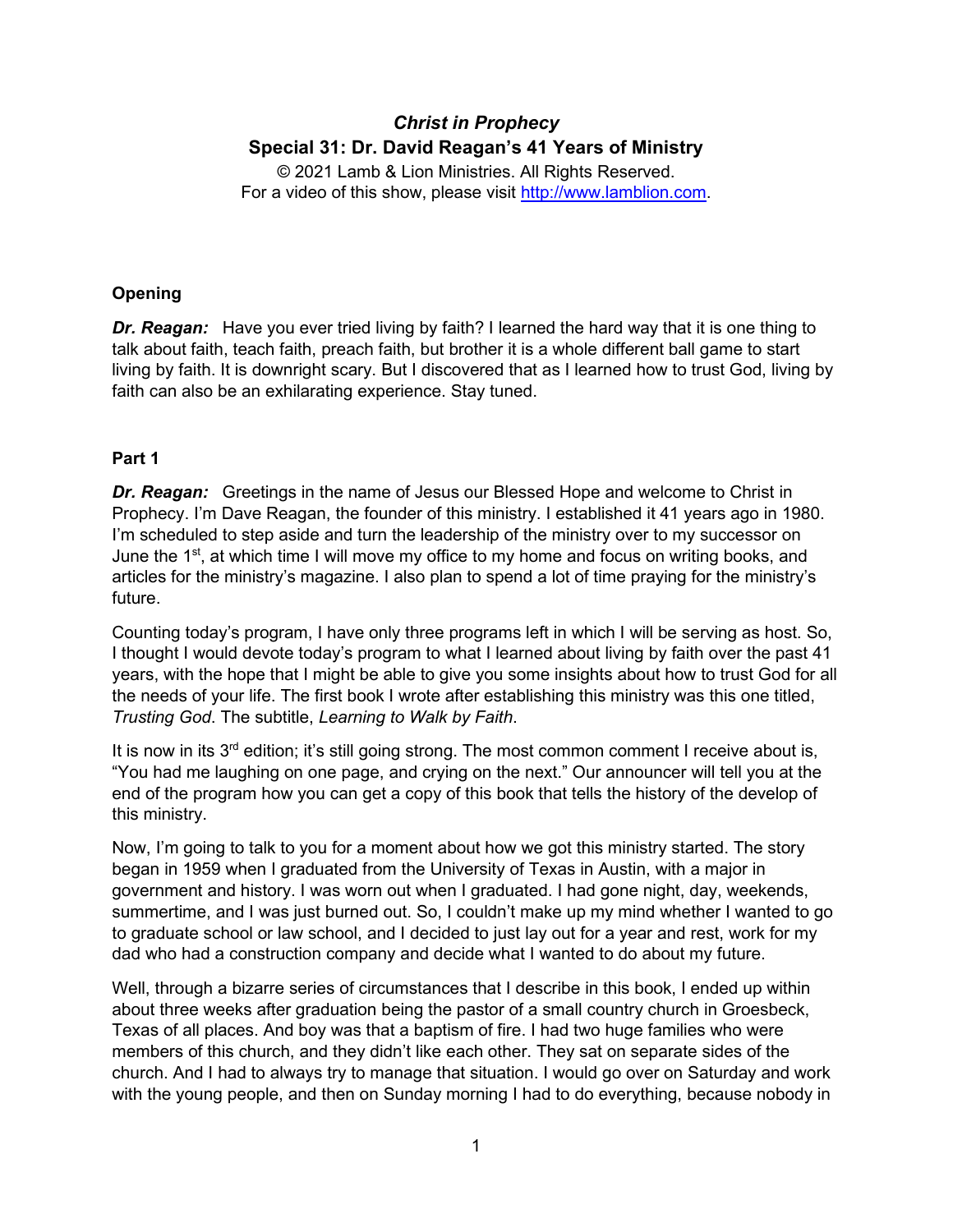# *Christ in Prophecy* **Special 31: Dr. David Reagan's 41 Years of Ministry**

© 2021 Lamb & Lion Ministries. All Rights Reserved. For a video of this show, please visit [http://www.lamblion.com.](http://www.lamblion.com/)

### **Opening**

*Dr. Reagan:* Have you ever tried living by faith? I learned the hard way that it is one thing to talk about faith, teach faith, preach faith, but brother it is a whole different ball game to start living by faith. It is downright scary. But I discovered that as I learned how to trust God, living by faith can also be an exhilarating experience. Stay tuned.

## **Part 1**

**Dr. Reagan:** Greetings in the name of Jesus our Blessed Hope and welcome to Christ in Prophecy. I'm Dave Reagan, the founder of this ministry. I established it 41 years ago in 1980. I'm scheduled to step aside and turn the leadership of the ministry over to my successor on June the 1<sup>st</sup>, at which time I will move my office to my home and focus on writing books, and articles for the ministry's magazine. I also plan to spend a lot of time praying for the ministry's future.

Counting today's program, I have only three programs left in which I will be serving as host. So, I thought I would devote today's program to what I learned about living by faith over the past 41 years, with the hope that I might be able to give you some insights about how to trust God for all the needs of your life. The first book I wrote after establishing this ministry was this one titled, *Trusting God*. The subtitle, *Learning to Walk by Faith*.

It is now in its 3<sup>rd</sup> edition; it's still going strong. The most common comment I receive about is, "You had me laughing on one page, and crying on the next." Our announcer will tell you at the end of the program how you can get a copy of this book that tells the history of the develop of this ministry.

Now, I'm going to talk to you for a moment about how we got this ministry started. The story began in 1959 when I graduated from the University of Texas in Austin, with a major in government and history. I was worn out when I graduated. I had gone night, day, weekends, summertime, and I was just burned out. So, I couldn't make up my mind whether I wanted to go to graduate school or law school, and I decided to just lay out for a year and rest, work for my dad who had a construction company and decide what I wanted to do about my future.

Well, through a bizarre series of circumstances that I describe in this book, I ended up within about three weeks after graduation being the pastor of a small country church in Groesbeck, Texas of all places. And boy was that a baptism of fire. I had two huge families who were members of this church, and they didn't like each other. They sat on separate sides of the church. And I had to always try to manage that situation. I would go over on Saturday and work with the young people, and then on Sunday morning I had to do everything, because nobody in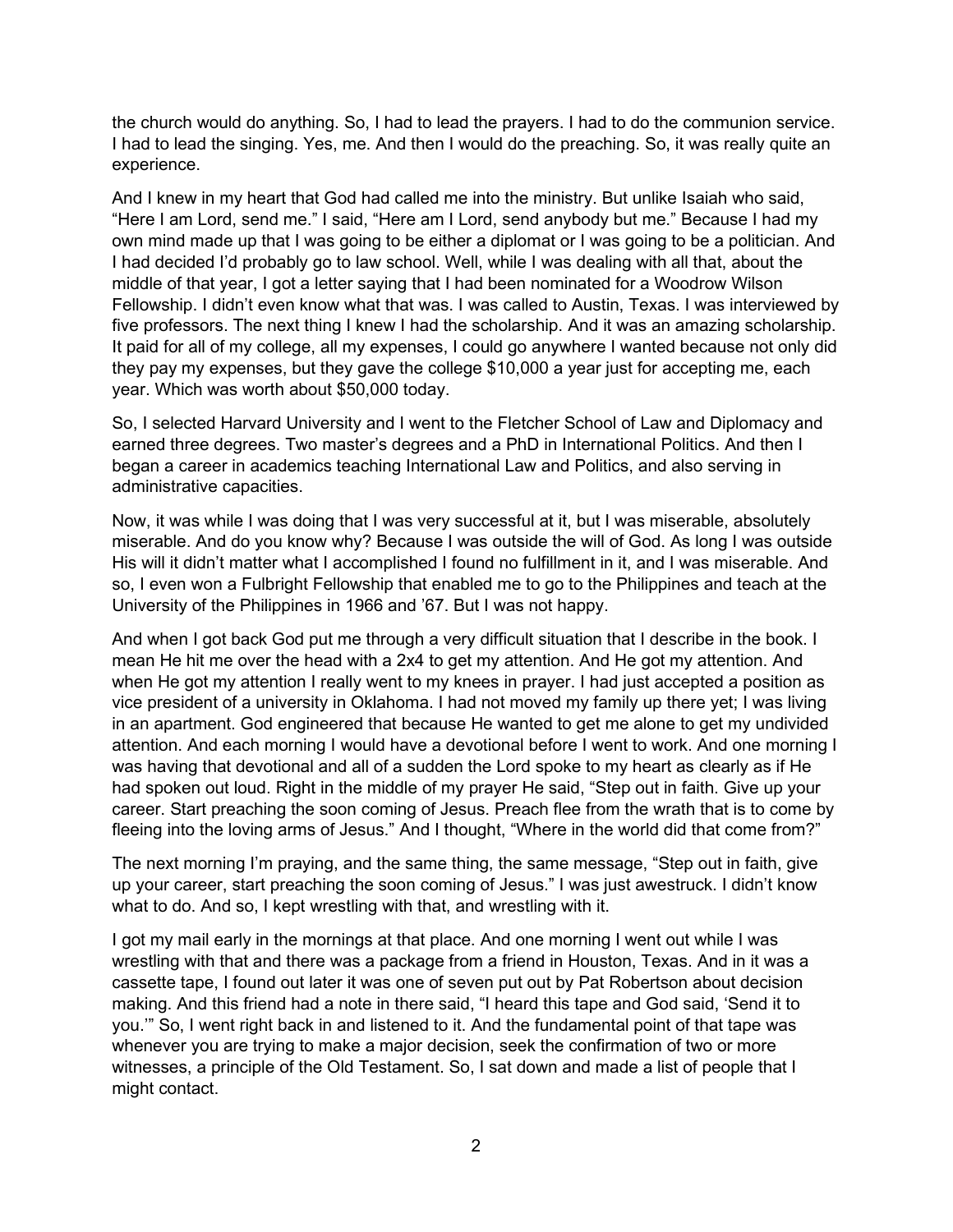the church would do anything. So, I had to lead the prayers. I had to do the communion service. I had to lead the singing. Yes, me. And then I would do the preaching. So, it was really quite an experience.

And I knew in my heart that God had called me into the ministry. But unlike Isaiah who said, "Here I am Lord, send me." I said, "Here am I Lord, send anybody but me." Because I had my own mind made up that I was going to be either a diplomat or I was going to be a politician. And I had decided I'd probably go to law school. Well, while I was dealing with all that, about the middle of that year, I got a letter saying that I had been nominated for a Woodrow Wilson Fellowship. I didn't even know what that was. I was called to Austin, Texas. I was interviewed by five professors. The next thing I knew I had the scholarship. And it was an amazing scholarship. It paid for all of my college, all my expenses, I could go anywhere I wanted because not only did they pay my expenses, but they gave the college \$10,000 a year just for accepting me, each year. Which was worth about \$50,000 today.

So, I selected Harvard University and I went to the Fletcher School of Law and Diplomacy and earned three degrees. Two master's degrees and a PhD in International Politics. And then I began a career in academics teaching International Law and Politics, and also serving in administrative capacities.

Now, it was while I was doing that I was very successful at it, but I was miserable, absolutely miserable. And do you know why? Because I was outside the will of God. As long I was outside His will it didn't matter what I accomplished I found no fulfillment in it, and I was miserable. And so, I even won a Fulbright Fellowship that enabled me to go to the Philippines and teach at the University of the Philippines in 1966 and '67. But I was not happy.

And when I got back God put me through a very difficult situation that I describe in the book. I mean He hit me over the head with a 2x4 to get my attention. And He got my attention. And when He got my attention I really went to my knees in prayer. I had just accepted a position as vice president of a university in Oklahoma. I had not moved my family up there yet; I was living in an apartment. God engineered that because He wanted to get me alone to get my undivided attention. And each morning I would have a devotional before I went to work. And one morning I was having that devotional and all of a sudden the Lord spoke to my heart as clearly as if He had spoken out loud. Right in the middle of my prayer He said, "Step out in faith. Give up your career. Start preaching the soon coming of Jesus. Preach flee from the wrath that is to come by fleeing into the loving arms of Jesus." And I thought, "Where in the world did that come from?"

The next morning I'm praying, and the same thing, the same message, "Step out in faith, give up your career, start preaching the soon coming of Jesus." I was just awestruck. I didn't know what to do. And so, I kept wrestling with that, and wrestling with it.

I got my mail early in the mornings at that place. And one morning I went out while I was wrestling with that and there was a package from a friend in Houston, Texas. And in it was a cassette tape, I found out later it was one of seven put out by Pat Robertson about decision making. And this friend had a note in there said, "I heard this tape and God said, 'Send it to you.'" So, I went right back in and listened to it. And the fundamental point of that tape was whenever you are trying to make a major decision, seek the confirmation of two or more witnesses, a principle of the Old Testament. So, I sat down and made a list of people that I might contact.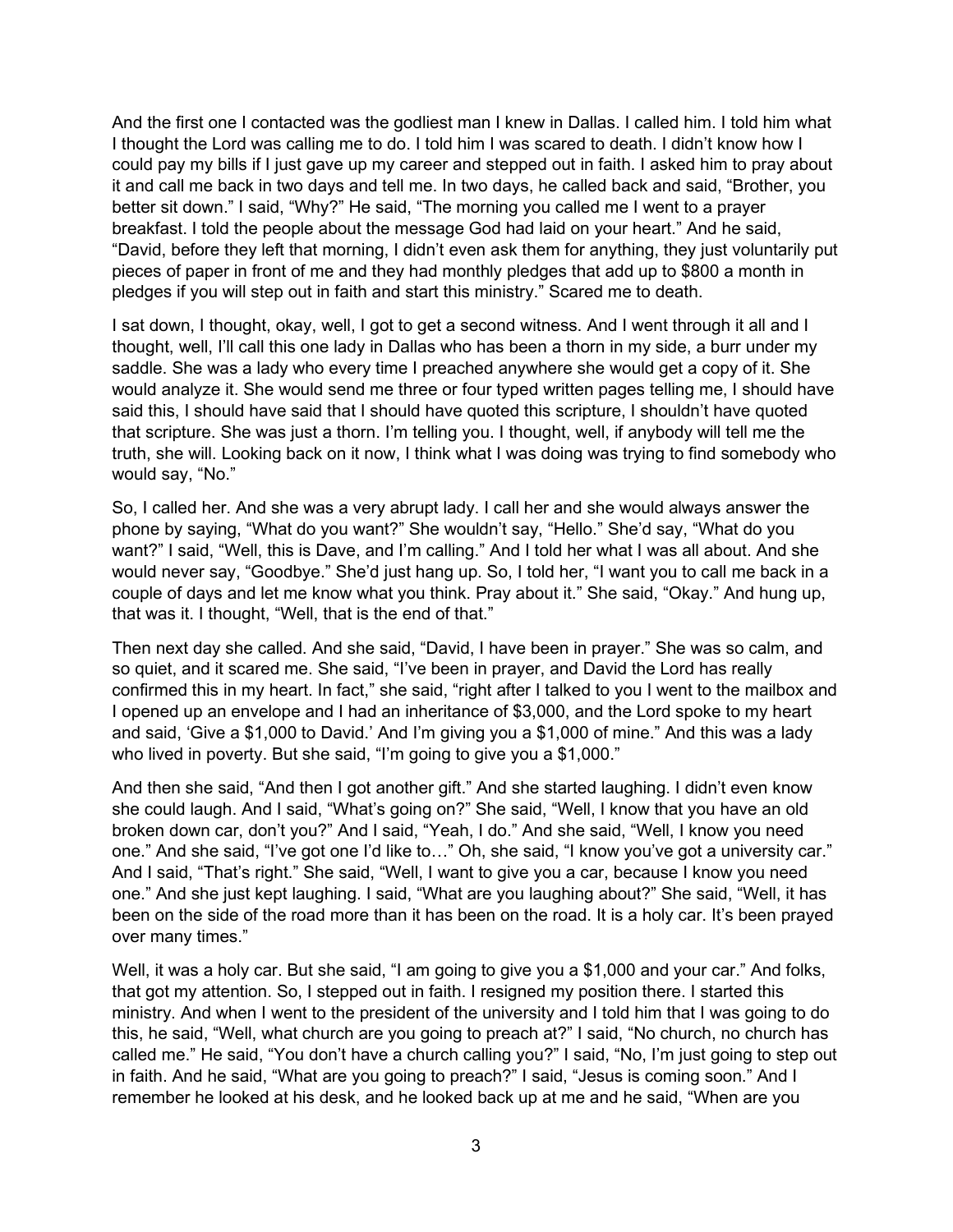And the first one I contacted was the godliest man I knew in Dallas. I called him. I told him what I thought the Lord was calling me to do. I told him I was scared to death. I didn't know how I could pay my bills if I just gave up my career and stepped out in faith. I asked him to pray about it and call me back in two days and tell me. In two days, he called back and said, "Brother, you better sit down." I said, "Why?" He said, "The morning you called me I went to a prayer breakfast. I told the people about the message God had laid on your heart." And he said, "David, before they left that morning, I didn't even ask them for anything, they just voluntarily put pieces of paper in front of me and they had monthly pledges that add up to \$800 a month in pledges if you will step out in faith and start this ministry." Scared me to death.

I sat down, I thought, okay, well, I got to get a second witness. And I went through it all and I thought, well, I'll call this one lady in Dallas who has been a thorn in my side, a burr under my saddle. She was a lady who every time I preached anywhere she would get a copy of it. She would analyze it. She would send me three or four typed written pages telling me, I should have said this, I should have said that I should have quoted this scripture, I shouldn't have quoted that scripture. She was just a thorn. I'm telling you. I thought, well, if anybody will tell me the truth, she will. Looking back on it now, I think what I was doing was trying to find somebody who would say, "No."

So, I called her. And she was a very abrupt lady. I call her and she would always answer the phone by saying, "What do you want?" She wouldn't say, "Hello." She'd say, "What do you want?" I said, "Well, this is Dave, and I'm calling." And I told her what I was all about. And she would never say, "Goodbye." She'd just hang up. So, I told her, "I want you to call me back in a couple of days and let me know what you think. Pray about it." She said, "Okay." And hung up, that was it. I thought, "Well, that is the end of that."

Then next day she called. And she said, "David, I have been in prayer." She was so calm, and so quiet, and it scared me. She said, "I've been in prayer, and David the Lord has really confirmed this in my heart. In fact," she said, "right after I talked to you I went to the mailbox and I opened up an envelope and I had an inheritance of \$3,000, and the Lord spoke to my heart and said, 'Give a \$1,000 to David.' And I'm giving you a \$1,000 of mine." And this was a lady who lived in poverty. But she said, "I'm going to give you a \$1,000."

And then she said, "And then I got another gift." And she started laughing. I didn't even know she could laugh. And I said, "What's going on?" She said, "Well, I know that you have an old broken down car, don't you?" And I said, "Yeah, I do." And she said, "Well, I know you need one." And she said, "I've got one I'd like to…" Oh, she said, "I know you've got a university car." And I said, "That's right." She said, "Well, I want to give you a car, because I know you need one." And she just kept laughing. I said, "What are you laughing about?" She said, "Well, it has been on the side of the road more than it has been on the road. It is a holy car. It's been prayed over many times."

Well, it was a holy car. But she said, "I am going to give you a \$1,000 and your car." And folks, that got my attention. So, I stepped out in faith. I resigned my position there. I started this ministry. And when I went to the president of the university and I told him that I was going to do this, he said, "Well, what church are you going to preach at?" I said, "No church, no church has called me." He said, "You don't have a church calling you?" I said, "No, I'm just going to step out in faith. And he said, "What are you going to preach?" I said, "Jesus is coming soon." And I remember he looked at his desk, and he looked back up at me and he said, "When are you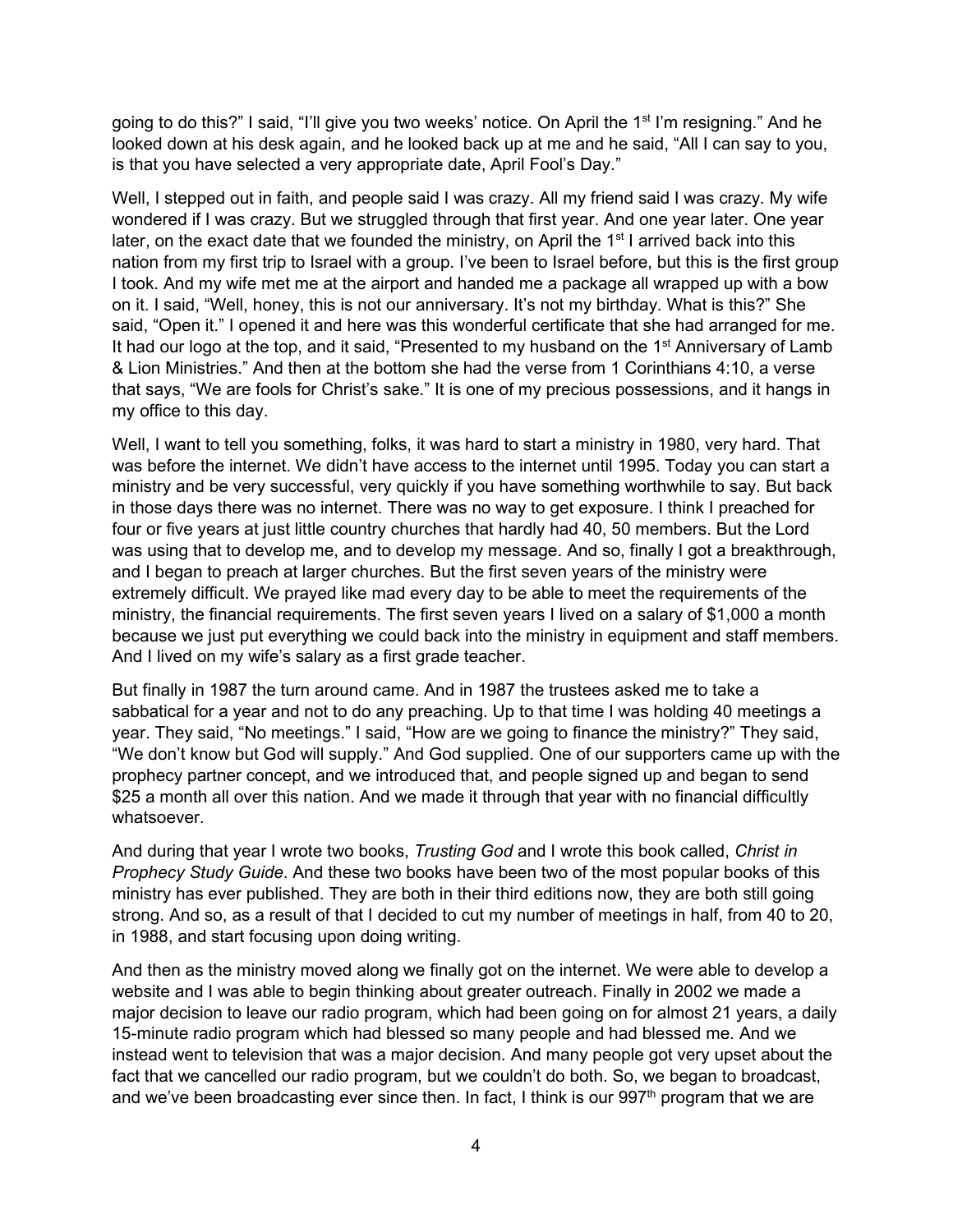going to do this?" I said, "I'll give you two weeks' notice. On April the 1<sup>st</sup> I'm resigning." And he looked down at his desk again, and he looked back up at me and he said, "All I can say to you, is that you have selected a very appropriate date, April Fool's Day."

Well, I stepped out in faith, and people said I was crazy. All my friend said I was crazy. My wife wondered if I was crazy. But we struggled through that first year. And one year later. One year later, on the exact date that we founded the ministry, on April the  $1<sup>st</sup>$  I arrived back into this nation from my first trip to Israel with a group. I've been to Israel before, but this is the first group I took. And my wife met me at the airport and handed me a package all wrapped up with a bow on it. I said, "Well, honey, this is not our anniversary. It's not my birthday. What is this?" She said, "Open it." I opened it and here was this wonderful certificate that she had arranged for me. It had our logo at the top, and it said, "Presented to my husband on the 1<sup>st</sup> Anniversary of Lamb & Lion Ministries." And then at the bottom she had the verse from 1 Corinthians 4:10, a verse that says, "We are fools for Christ's sake." It is one of my precious possessions, and it hangs in my office to this day.

Well, I want to tell you something, folks, it was hard to start a ministry in 1980, very hard. That was before the internet. We didn't have access to the internet until 1995. Today you can start a ministry and be very successful, very quickly if you have something worthwhile to say. But back in those days there was no internet. There was no way to get exposure. I think I preached for four or five years at just little country churches that hardly had 40, 50 members. But the Lord was using that to develop me, and to develop my message. And so, finally I got a breakthrough, and I began to preach at larger churches. But the first seven years of the ministry were extremely difficult. We prayed like mad every day to be able to meet the requirements of the ministry, the financial requirements. The first seven years I lived on a salary of \$1,000 a month because we just put everything we could back into the ministry in equipment and staff members. And I lived on my wife's salary as a first grade teacher.

But finally in 1987 the turn around came. And in 1987 the trustees asked me to take a sabbatical for a year and not to do any preaching. Up to that time I was holding 40 meetings a year. They said, "No meetings." I said, "How are we going to finance the ministry?" They said, "We don't know but God will supply." And God supplied. One of our supporters came up with the prophecy partner concept, and we introduced that, and people signed up and began to send \$25 a month all over this nation. And we made it through that year with no financial difficultly whatsoever.

And during that year I wrote two books, *Trusting God* and I wrote this book called, *Christ in Prophecy Study Guide*. And these two books have been two of the most popular books of this ministry has ever published. They are both in their third editions now, they are both still going strong. And so, as a result of that I decided to cut my number of meetings in half, from 40 to 20, in 1988, and start focusing upon doing writing.

And then as the ministry moved along we finally got on the internet. We were able to develop a website and I was able to begin thinking about greater outreach. Finally in 2002 we made a major decision to leave our radio program, which had been going on for almost 21 years, a daily 15-minute radio program which had blessed so many people and had blessed me. And we instead went to television that was a major decision. And many people got very upset about the fact that we cancelled our radio program, but we couldn't do both. So, we began to broadcast, and we've been broadcasting ever since then. In fact, I think is our  $997<sup>th</sup>$  program that we are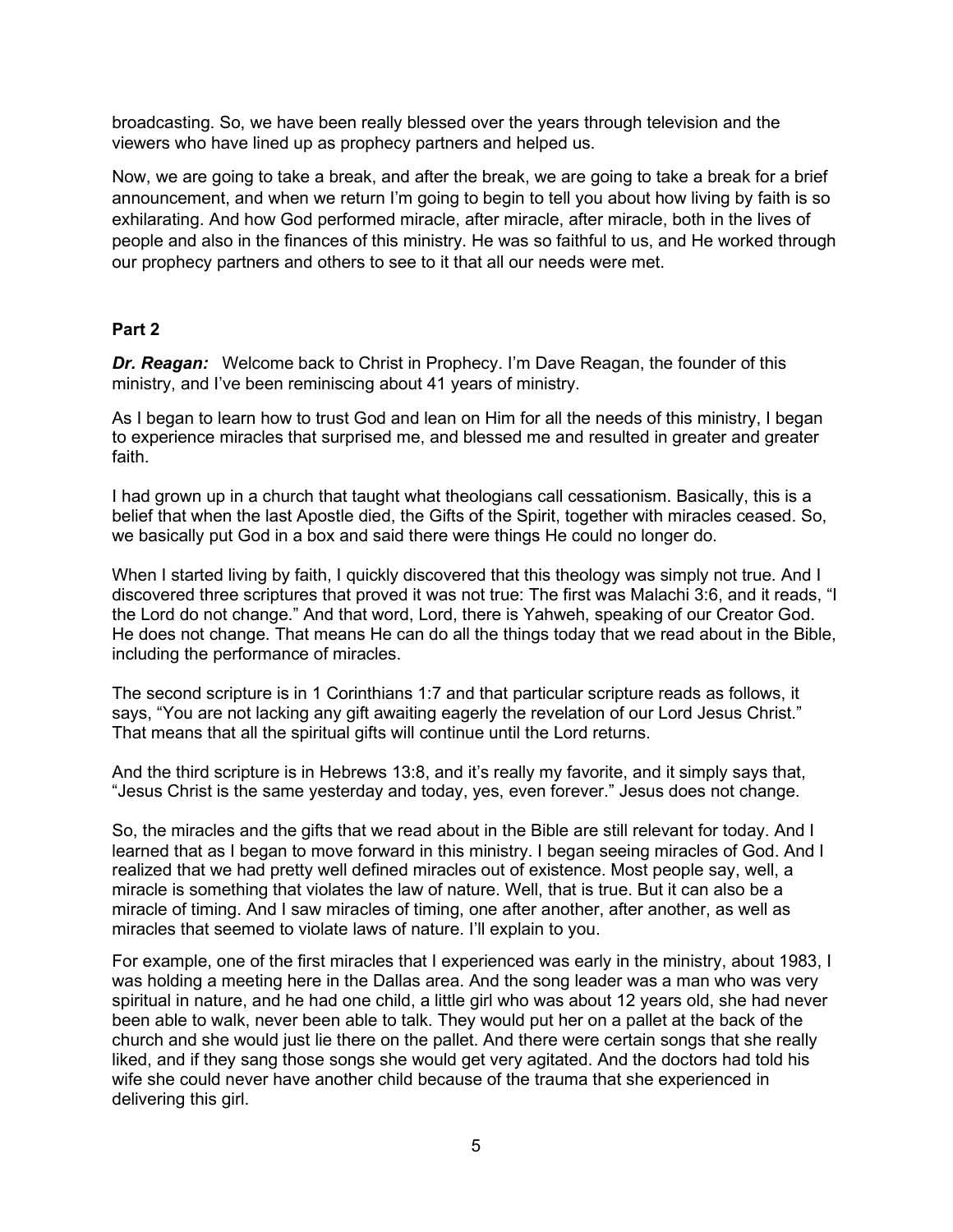broadcasting. So, we have been really blessed over the years through television and the viewers who have lined up as prophecy partners and helped us.

Now, we are going to take a break, and after the break, we are going to take a break for a brief announcement, and when we return I'm going to begin to tell you about how living by faith is so exhilarating. And how God performed miracle, after miracle, after miracle, both in the lives of people and also in the finances of this ministry. He was so faithful to us, and He worked through our prophecy partners and others to see to it that all our needs were met.

### **Part 2**

*Dr. Reagan:* Welcome back to Christ in Prophecy. I'm Dave Reagan, the founder of this ministry, and I've been reminiscing about 41 years of ministry.

As I began to learn how to trust God and lean on Him for all the needs of this ministry, I began to experience miracles that surprised me, and blessed me and resulted in greater and greater faith.

I had grown up in a church that taught what theologians call cessationism. Basically, this is a belief that when the last Apostle died, the Gifts of the Spirit, together with miracles ceased. So, we basically put God in a box and said there were things He could no longer do.

When I started living by faith, I quickly discovered that this theology was simply not true. And I discovered three scriptures that proved it was not true: The first was Malachi 3:6, and it reads, "I the Lord do not change." And that word, Lord, there is Yahweh, speaking of our Creator God. He does not change. That means He can do all the things today that we read about in the Bible, including the performance of miracles.

The second scripture is in 1 Corinthians 1:7 and that particular scripture reads as follows, it says, "You are not lacking any gift awaiting eagerly the revelation of our Lord Jesus Christ." That means that all the spiritual gifts will continue until the Lord returns.

And the third scripture is in Hebrews 13:8, and it's really my favorite, and it simply says that, "Jesus Christ is the same yesterday and today, yes, even forever." Jesus does not change.

So, the miracles and the gifts that we read about in the Bible are still relevant for today. And I learned that as I began to move forward in this ministry. I began seeing miracles of God. And I realized that we had pretty well defined miracles out of existence. Most people say, well, a miracle is something that violates the law of nature. Well, that is true. But it can also be a miracle of timing. And I saw miracles of timing, one after another, after another, as well as miracles that seemed to violate laws of nature. I'll explain to you.

For example, one of the first miracles that I experienced was early in the ministry, about 1983, I was holding a meeting here in the Dallas area. And the song leader was a man who was very spiritual in nature, and he had one child, a little girl who was about 12 years old, she had never been able to walk, never been able to talk. They would put her on a pallet at the back of the church and she would just lie there on the pallet. And there were certain songs that she really liked, and if they sang those songs she would get very agitated. And the doctors had told his wife she could never have another child because of the trauma that she experienced in delivering this girl.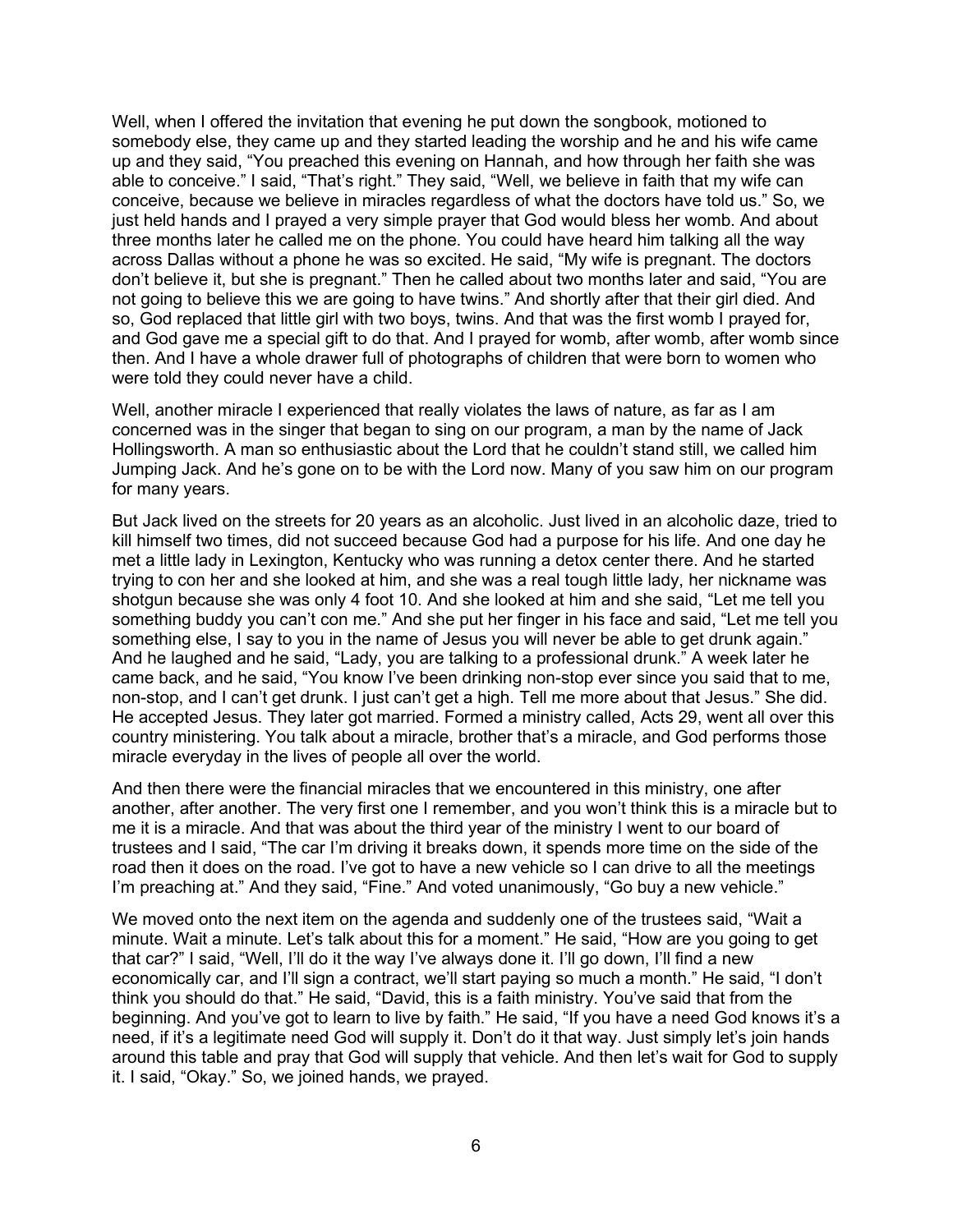Well, when I offered the invitation that evening he put down the songbook, motioned to somebody else, they came up and they started leading the worship and he and his wife came up and they said, "You preached this evening on Hannah, and how through her faith she was able to conceive." I said, "That's right." They said, "Well, we believe in faith that my wife can conceive, because we believe in miracles regardless of what the doctors have told us." So, we just held hands and I prayed a very simple prayer that God would bless her womb. And about three months later he called me on the phone. You could have heard him talking all the way across Dallas without a phone he was so excited. He said, "My wife is pregnant. The doctors don't believe it, but she is pregnant." Then he called about two months later and said, "You are not going to believe this we are going to have twins." And shortly after that their girl died. And so, God replaced that little girl with two boys, twins. And that was the first womb I prayed for, and God gave me a special gift to do that. And I prayed for womb, after womb, after womb since then. And I have a whole drawer full of photographs of children that were born to women who were told they could never have a child.

Well, another miracle I experienced that really violates the laws of nature, as far as I am concerned was in the singer that began to sing on our program, a man by the name of Jack Hollingsworth. A man so enthusiastic about the Lord that he couldn't stand still, we called him Jumping Jack. And he's gone on to be with the Lord now. Many of you saw him on our program for many years.

But Jack lived on the streets for 20 years as an alcoholic. Just lived in an alcoholic daze, tried to kill himself two times, did not succeed because God had a purpose for his life. And one day he met a little lady in Lexington, Kentucky who was running a detox center there. And he started trying to con her and she looked at him, and she was a real tough little lady, her nickname was shotgun because she was only 4 foot 10. And she looked at him and she said, "Let me tell you something buddy you can't con me." And she put her finger in his face and said, "Let me tell you something else, I say to you in the name of Jesus you will never be able to get drunk again." And he laughed and he said, "Lady, you are talking to a professional drunk." A week later he came back, and he said, "You know I've been drinking non-stop ever since you said that to me, non-stop, and I can't get drunk. I just can't get a high. Tell me more about that Jesus." She did. He accepted Jesus. They later got married. Formed a ministry called, Acts 29, went all over this country ministering. You talk about a miracle, brother that's a miracle, and God performs those miracle everyday in the lives of people all over the world.

And then there were the financial miracles that we encountered in this ministry, one after another, after another. The very first one I remember, and you won't think this is a miracle but to me it is a miracle. And that was about the third year of the ministry I went to our board of trustees and I said, "The car I'm driving it breaks down, it spends more time on the side of the road then it does on the road. I've got to have a new vehicle so I can drive to all the meetings I'm preaching at." And they said, "Fine." And voted unanimously, "Go buy a new vehicle."

We moved onto the next item on the agenda and suddenly one of the trustees said, "Wait a minute. Wait a minute. Let's talk about this for a moment." He said, "How are you going to get that car?" I said, "Well, I'll do it the way I've always done it. I'll go down, I'll find a new economically car, and I'll sign a contract, we'll start paying so much a month." He said, "I don't think you should do that." He said, "David, this is a faith ministry. You've said that from the beginning. And you've got to learn to live by faith." He said, "If you have a need God knows it's a need, if it's a legitimate need God will supply it. Don't do it that way. Just simply let's join hands around this table and pray that God will supply that vehicle. And then let's wait for God to supply it. I said, "Okay." So, we joined hands, we prayed.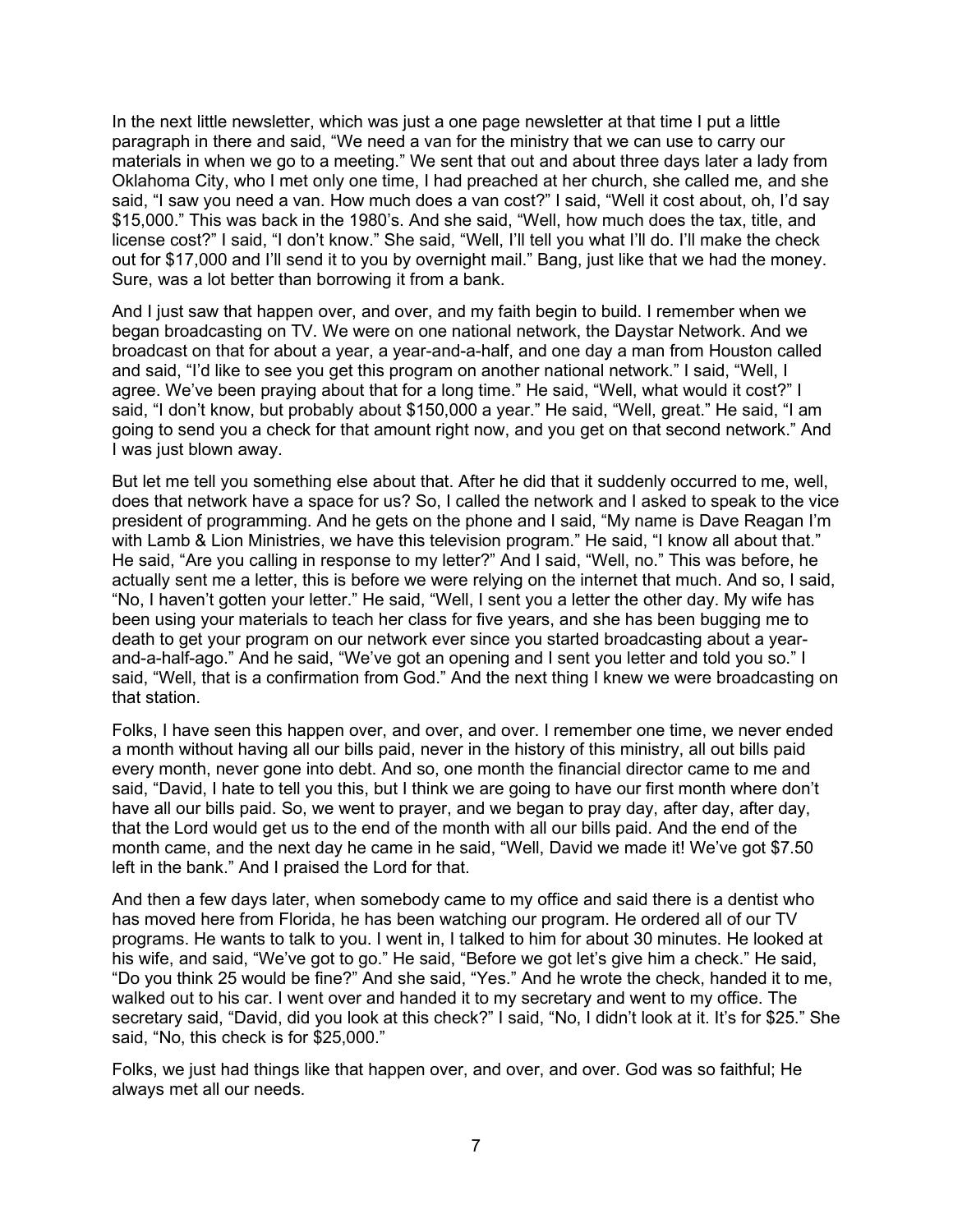In the next little newsletter, which was just a one page newsletter at that time I put a little paragraph in there and said, "We need a van for the ministry that we can use to carry our materials in when we go to a meeting." We sent that out and about three days later a lady from Oklahoma City, who I met only one time, I had preached at her church, she called me, and she said, "I saw you need a van. How much does a van cost?" I said, "Well it cost about, oh, I'd say \$15,000." This was back in the 1980's. And she said, "Well, how much does the tax, title, and license cost?" I said, "I don't know." She said, "Well, I'll tell you what I'll do. I'll make the check out for \$17,000 and I'll send it to you by overnight mail." Bang, just like that we had the money. Sure, was a lot better than borrowing it from a bank.

And I just saw that happen over, and over, and my faith begin to build. I remember when we began broadcasting on TV. We were on one national network, the Daystar Network. And we broadcast on that for about a year, a year-and-a-half, and one day a man from Houston called and said, "I'd like to see you get this program on another national network." I said, "Well, I agree. We've been praying about that for a long time." He said, "Well, what would it cost?" I said, "I don't know, but probably about \$150,000 a year." He said, "Well, great." He said, "I am going to send you a check for that amount right now, and you get on that second network." And I was just blown away.

But let me tell you something else about that. After he did that it suddenly occurred to me, well, does that network have a space for us? So, I called the network and I asked to speak to the vice president of programming. And he gets on the phone and I said, "My name is Dave Reagan I'm with Lamb & Lion Ministries, we have this television program." He said, "I know all about that." He said, "Are you calling in response to my letter?" And I said, "Well, no." This was before, he actually sent me a letter, this is before we were relying on the internet that much. And so, I said, "No, I haven't gotten your letter." He said, "Well, I sent you a letter the other day. My wife has been using your materials to teach her class for five years, and she has been bugging me to death to get your program on our network ever since you started broadcasting about a yearand-a-half-ago." And he said, "We've got an opening and I sent you letter and told you so." I said, "Well, that is a confirmation from God." And the next thing I knew we were broadcasting on that station.

Folks, I have seen this happen over, and over, and over. I remember one time, we never ended a month without having all our bills paid, never in the history of this ministry, all out bills paid every month, never gone into debt. And so, one month the financial director came to me and said, "David, I hate to tell you this, but I think we are going to have our first month where don't have all our bills paid. So, we went to prayer, and we began to pray day, after day, after day, that the Lord would get us to the end of the month with all our bills paid. And the end of the month came, and the next day he came in he said, "Well, David we made it! We've got \$7.50 left in the bank." And I praised the Lord for that.

And then a few days later, when somebody came to my office and said there is a dentist who has moved here from Florida, he has been watching our program. He ordered all of our TV programs. He wants to talk to you. I went in, I talked to him for about 30 minutes. He looked at his wife, and said, "We've got to go." He said, "Before we got let's give him a check." He said, "Do you think 25 would be fine?" And she said, "Yes." And he wrote the check, handed it to me, walked out to his car. I went over and handed it to my secretary and went to my office. The secretary said, "David, did you look at this check?" I said, "No, I didn't look at it. It's for \$25." She said, "No, this check is for \$25,000."

Folks, we just had things like that happen over, and over, and over. God was so faithful; He always met all our needs.